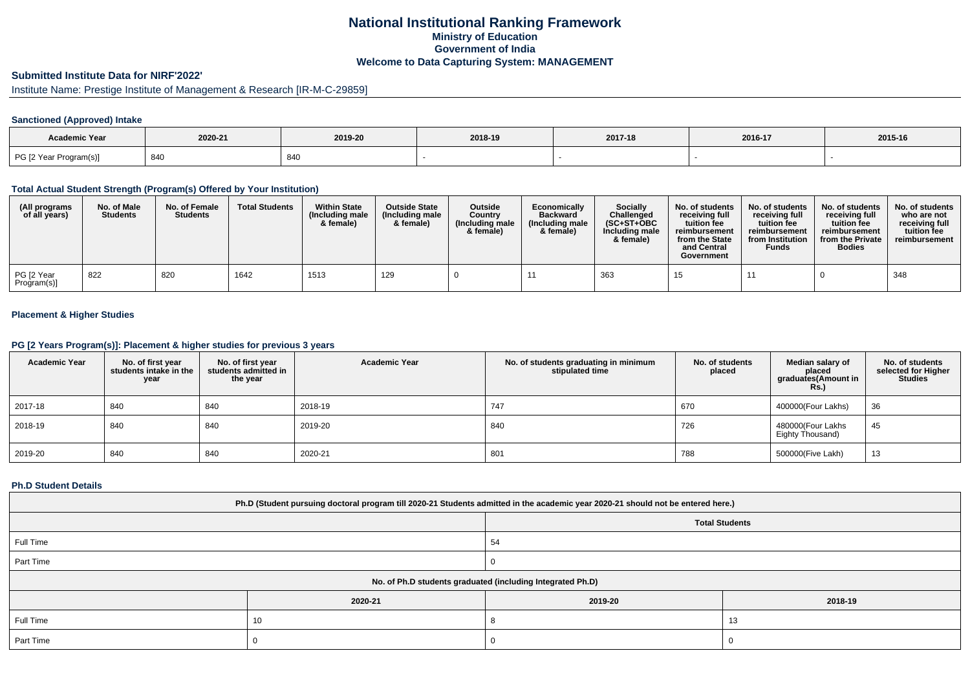# **National Institutional Ranking FrameworkMinistry of Education Government of IndiaWelcome to Data Capturing System: MANAGEMENT**

# **Submitted Institute Data for NIRF'2022'**

# Institute Name: Prestige Institute of Management & Research [IR-M-C-29859]

## **Sanctioned (Approved) Intake**

| Academic Year          |         |         |         |         |         |         |
|------------------------|---------|---------|---------|---------|---------|---------|
|                        | 2020-21 | 2019-20 | 2018-19 | 2017-18 | 2016-17 | 2015-16 |
| PG [2 Year Program(s)] |         | 840     |         |         |         |         |

### **Total Actual Student Strength (Program(s) Offered by Your Institution)**

| (All programs<br>of all years) | No. of Male<br><b>Students</b> | No. of Female<br><b>Students</b> | <b>Total Students</b> | <b>Within State</b><br>(Including male<br>& female) | <b>Outside State</b><br>(Including male<br>& female) | Outside<br>Country<br>(Including male)<br>& female) | Economically<br><b>Backward</b><br>(Including male<br>& female) | <b>Socially</b><br>Challenged<br>$(SC+ST+OBC$<br>Including male<br>& female) | No. of students<br>receivina full<br>tuition fee<br>reimbursement<br>from the State<br>and Central<br>Government | No. of students<br>receiving full<br>tuition fee<br>reimbursement<br>from Institution<br><b>Funds</b> | No. of students<br>receiving full<br>tuition fee<br>reimbursement<br>from the Private<br><b>Bodies</b> | No. of students<br>who are not<br>receivina full<br>tuition fee<br>reimbursement |
|--------------------------------|--------------------------------|----------------------------------|-----------------------|-----------------------------------------------------|------------------------------------------------------|-----------------------------------------------------|-----------------------------------------------------------------|------------------------------------------------------------------------------|------------------------------------------------------------------------------------------------------------------|-------------------------------------------------------------------------------------------------------|--------------------------------------------------------------------------------------------------------|----------------------------------------------------------------------------------|
| PG [2 Year<br>Program(s)]      | 822                            | 820                              | 1642                  | 1513                                                | 129                                                  |                                                     |                                                                 | 363                                                                          |                                                                                                                  |                                                                                                       |                                                                                                        | 348                                                                              |

## **Placement & Higher Studies**

#### **PG [2 Years Program(s)]: Placement & higher studies for previous 3 years**

| <b>Academic Year</b> | No. of first year<br>students intake in the<br>year | No. of first year<br>students admitted in<br>the year | <b>Academic Year</b> | No. of students graduating in minimum<br>stipulated time | No. of students<br>placed | Median salary of<br>placed<br>graduates(Amount in<br><b>Rs.)</b> | No. of students<br>selected for Higher<br><b>Studies</b> |
|----------------------|-----------------------------------------------------|-------------------------------------------------------|----------------------|----------------------------------------------------------|---------------------------|------------------------------------------------------------------|----------------------------------------------------------|
| 2017-18              | 840                                                 | 840                                                   | 2018-19              | 747                                                      | 670                       | 400000(Four Lakhs)                                               | 36                                                       |
| 2018-19              | 840                                                 | 840                                                   | 2019-20              | 840                                                      | 726                       | 480000(Four Lakhs<br>Eighty Thousand)                            | 45                                                       |
| 2019-20              | 840                                                 | 840                                                   | 2020-21              | 801                                                      | 788                       | 500000(Five Lakh)                                                | 13                                                       |

#### **Ph.D Student Details**

| Ph.D (Student pursuing doctoral program till 2020-21 Students admitted in the academic year 2020-21 should not be entered here.) |                                                            |         |         |  |  |  |  |
|----------------------------------------------------------------------------------------------------------------------------------|------------------------------------------------------------|---------|---------|--|--|--|--|
| <b>Total Students</b>                                                                                                            |                                                            |         |         |  |  |  |  |
| Full Time                                                                                                                        |                                                            | 54      |         |  |  |  |  |
| Part Time                                                                                                                        |                                                            |         |         |  |  |  |  |
|                                                                                                                                  | No. of Ph.D students graduated (including Integrated Ph.D) |         |         |  |  |  |  |
|                                                                                                                                  | 2020-21                                                    | 2019-20 | 2018-19 |  |  |  |  |
| Full Time                                                                                                                        | 10                                                         | 13      |         |  |  |  |  |
| Part Time                                                                                                                        |                                                            |         |         |  |  |  |  |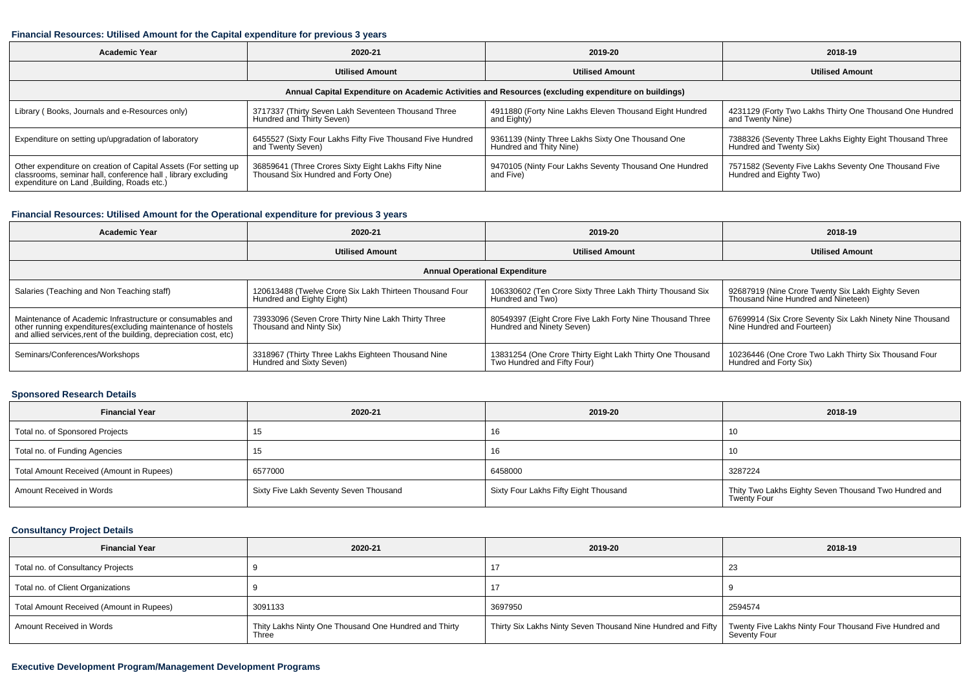### **Financial Resources: Utilised Amount for the Capital expenditure for previous 3 years**

| 2020-21<br>Academic Year                                                                                                                                                       |                                                                                            | 2019-20                                                                      | 2018-19                                                                             |  |  |  |  |  |  |
|--------------------------------------------------------------------------------------------------------------------------------------------------------------------------------|--------------------------------------------------------------------------------------------|------------------------------------------------------------------------------|-------------------------------------------------------------------------------------|--|--|--|--|--|--|
|                                                                                                                                                                                | <b>Utilised Amount</b>                                                                     | <b>Utilised Amount</b>                                                       | <b>Utilised Amount</b>                                                              |  |  |  |  |  |  |
| Annual Capital Expenditure on Academic Activities and Resources (excluding expenditure on buildings)                                                                           |                                                                                            |                                                                              |                                                                                     |  |  |  |  |  |  |
| Library (Books, Journals and e-Resources only)                                                                                                                                 | 3717337 (Thirty Seven Lakh Seventeen Thousand Three<br>Hundred and Thirty Seven)           | 4911880 (Forty Nine Lakhs Eleven Thousand Eight Hundred<br>and Eighty)       | 4231129 (Forty Two Lakhs Thirty One Thousand One Hundred<br>and Twenty Nine)        |  |  |  |  |  |  |
| Expenditure on setting up/upgradation of laboratory                                                                                                                            | 6455527 (Sixty Four Lakhs Fifty Five Thousand Five Hundred<br>and Twenty Seven)            | 9361139 (Ninty Three Lakhs Sixty One Thousand One<br>Hundred and Thity Nine) | 7388326 (Seventy Three Lakhs Eighty Eight Thousand Three<br>Hundred and Twenty Six) |  |  |  |  |  |  |
| Other expenditure on creation of Capital Assets (For setting up<br>classrooms, seminar hall, conference hall, library excluding<br>expenditure on Land , Building, Roads etc.) | 36859641 (Three Crores Sixty Eight Lakhs Fifty Nine<br>Thousand Six Hundred and Forty One) | 9470105 (Ninty Four Lakhs Seventy Thousand One Hundred<br>and Five)          | 7571582 (Seventy Five Lakhs Seventy One Thousand Five<br>Hundred and Eighty Two)    |  |  |  |  |  |  |

## **Financial Resources: Utilised Amount for the Operational expenditure for previous 3 years**

| <b>Academic Year</b>                                                                                                              | 2020-21                                                 | 2019-20                                                   | 2018-19                                                   |  |  |  |  |  |  |
|-----------------------------------------------------------------------------------------------------------------------------------|---------------------------------------------------------|-----------------------------------------------------------|-----------------------------------------------------------|--|--|--|--|--|--|
|                                                                                                                                   | <b>Utilised Amount</b>                                  | <b>Utilised Amount</b>                                    | <b>Utilised Amount</b>                                    |  |  |  |  |  |  |
| <b>Annual Operational Expenditure</b>                                                                                             |                                                         |                                                           |                                                           |  |  |  |  |  |  |
| Salaries (Teaching and Non Teaching staff)                                                                                        | 120613488 (Twelve Crore Six Lakh Thirteen Thousand Four | 106330602 (Ten Crore Sixty Three Lakh Thirty Thousand Six | 92687919 (Nine Crore Twenty Six Lakh Eighty Seven         |  |  |  |  |  |  |
|                                                                                                                                   | Hundred and Eighty Eight)                               | Hundred and Two)                                          | Thousand Nine Hundred and Nineteen)                       |  |  |  |  |  |  |
| Maintenance of Academic Infrastructure or consumables and                                                                         | 73933096 (Seven Crore Thirty Nine Lakh Thirty Three     | 80549397 (Eight Crore Five Lakh Forty Nine Thousand Three | 67699914 (Six Crore Seventy Six Lakh Ninety Nine Thousand |  |  |  |  |  |  |
| other running expenditures(excluding maintenance of hostels<br>and allied services, rent of the building, depreciation cost, etc) | Thousand and Ninty Six)                                 | Hundred and Ninety Seven)                                 | Nine Hundred and Fourteen)                                |  |  |  |  |  |  |
| Seminars/Conferences/Workshops                                                                                                    | 3318967 (Thirty Three Lakhs Eighteen Thousand Nine      | 13831254 (One Crore Thirty Eight Lakh Thirty One Thousand | 10236446 (One Crore Two Lakh Thirty Six Thousand Four     |  |  |  |  |  |  |
|                                                                                                                                   | Hundred and Sixty Seven)                                | Two Hundred and Fifty Four)                               | Hundred and Forty Six)                                    |  |  |  |  |  |  |

## **Sponsored Research Details**

| <b>Financial Year</b>                    | 2020-21                                | 2019-20                               | 2018-19                                                                     |
|------------------------------------------|----------------------------------------|---------------------------------------|-----------------------------------------------------------------------------|
| Total no. of Sponsored Projects          |                                        | 16                                    |                                                                             |
| Total no. of Funding Agencies            |                                        | 16                                    | 10                                                                          |
| Total Amount Received (Amount in Rupees) | 6577000                                | 6458000                               | 3287224                                                                     |
| Amount Received in Words                 | Sixty Five Lakh Seventy Seven Thousand | Sixty Four Lakhs Fifty Eight Thousand | Thity Two Lakhs Eighty Seven Thousand Two Hundred and<br><b>Twenty Four</b> |

## **Consultancy Project Details**

| <b>Financial Year</b>                    | 2020-21                                                        | 2019-20                                                      | 2018-19                                                                |
|------------------------------------------|----------------------------------------------------------------|--------------------------------------------------------------|------------------------------------------------------------------------|
| Total no. of Consultancy Projects        |                                                                |                                                              | 23                                                                     |
| Total no. of Client Organizations        |                                                                |                                                              |                                                                        |
| Total Amount Received (Amount in Rupees) | 3091133                                                        | 3697950                                                      | 2594574                                                                |
| Amount Received in Words                 | Thity Lakhs Ninty One Thousand One Hundred and Thirty<br>Three | Thirty Six Lakhs Ninty Seven Thousand Nine Hundred and Fifty | Twenty Five Lakhs Ninty Four Thousand Five Hundred and<br>Seventy Four |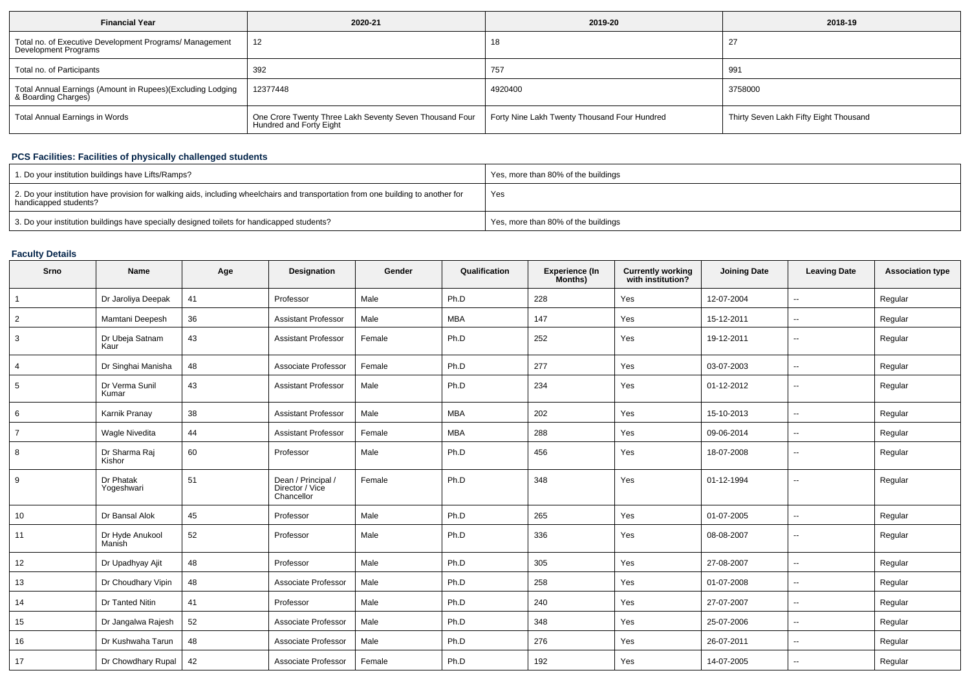| <b>Financial Year</b>                                                             | 2020-21                                                                            | 2019-20                                      | 2018-19                                |
|-----------------------------------------------------------------------------------|------------------------------------------------------------------------------------|----------------------------------------------|----------------------------------------|
| Total no. of Executive Development Programs/ Management<br>Development Programs   | 12                                                                                 | 18                                           | -27                                    |
| Total no. of Participants                                                         | 392                                                                                | 757                                          | 991                                    |
| Total Annual Earnings (Amount in Rupees)(Excluding Lodging<br>& Boarding Charges) | 12377448                                                                           | 4920400                                      | 3758000                                |
| Total Annual Earnings in Words                                                    | One Crore Twenty Three Lakh Seventy Seven Thousand Four<br>Hundred and Forty Eight | Forty Nine Lakh Twenty Thousand Four Hundred | Thirty Seven Lakh Fifty Eight Thousand |

# **PCS Facilities: Facilities of physically challenged students**

| 1. Do your institution buildings have Lifts/Ramps?                                                                                                         | Yes, more than 80% of the buildings |
|------------------------------------------------------------------------------------------------------------------------------------------------------------|-------------------------------------|
| 2. Do your institution have provision for walking aids, including wheelchairs and transportation from one building to another for<br>handicapped students? | Yes                                 |
| 3. Do your institution buildings have specially designed toilets for handicapped students?                                                                 | Yes, more than 80% of the buildings |

## **Faculty Details**

| Srno           | <b>Name</b>               | Age | Designation                                         | Gender | Qualification | Experience (In<br>Months) | <b>Currently working</b><br>with institution? | <b>Joining Date</b> | <b>Leaving Date</b>      | <b>Association type</b> |
|----------------|---------------------------|-----|-----------------------------------------------------|--------|---------------|---------------------------|-----------------------------------------------|---------------------|--------------------------|-------------------------|
| $\mathbf{1}$   | Dr Jaroliya Deepak        | 41  | Professor                                           | Male   | Ph.D          | 228                       | Yes                                           | 12-07-2004          | --                       | Regular                 |
| $\overline{2}$ | Mamtani Deepesh           | 36  | <b>Assistant Professor</b>                          | Male   | <b>MBA</b>    | 147                       | Yes                                           | 15-12-2011          | ⊷.                       | Regular                 |
| 3              | Dr Ubeja Satnam<br>Kaur   | 43  | <b>Assistant Professor</b>                          | Female | Ph.D          | 252                       | Yes                                           | 19-12-2011          | −−                       | Regular                 |
| $\overline{4}$ | Dr Singhai Manisha        | 48  | Associate Professor                                 | Female | Ph.D          | 277                       | Yes                                           | 03-07-2003          | $\overline{\phantom{a}}$ | Regular                 |
| 5              | Dr Verma Sunil<br>Kumar   | 43  | <b>Assistant Professor</b>                          | Male   | Ph.D          | 234                       | Yes                                           | 01-12-2012          | $\overline{\phantom{a}}$ | Regular                 |
| 6              | Karnik Pranay             | 38  | <b>Assistant Professor</b>                          | Male   | <b>MBA</b>    | 202                       | Yes                                           | 15-10-2013          | ⊷.                       | Regular                 |
| $\overline{7}$ | Wagle Nivedita            | 44  | <b>Assistant Professor</b>                          | Female | <b>MBA</b>    | 288                       | Yes                                           | 09-06-2014          | $\overline{\phantom{a}}$ | Regular                 |
| 8              | Dr Sharma Raj<br>Kishor   | 60  | Professor                                           | Male   | Ph.D          | 456                       | Yes                                           | 18-07-2008          | −−                       | Regular                 |
| 9              | Dr Phatak<br>Yogeshwari   | 51  | Dean / Principal /<br>Director / Vice<br>Chancellor | Female | Ph.D          | 348                       | Yes                                           | 01-12-1994          | --                       | Regular                 |
| 10             | Dr Bansal Alok            | 45  | Professor                                           | Male   | Ph.D          | 265                       | Yes                                           | 01-07-2005          | $\overline{\phantom{a}}$ | Regular                 |
| 11             | Dr Hyde Anukool<br>Manísh | 52  | Professor                                           | Male   | Ph.D          | 336                       | Yes                                           | 08-08-2007          | $\overline{\phantom{a}}$ | Regular                 |
| 12             | Dr Upadhyay Ajit          | 48  | Professor                                           | Male   | Ph.D          | 305                       | Yes                                           | 27-08-2007          | ⊷.                       | Regular                 |
| 13             | Dr Choudhary Vipin        | 48  | Associate Professor                                 | Male   | Ph.D          | 258                       | Yes                                           | 01-07-2008          | $\overline{\phantom{a}}$ | Regular                 |
| 14             | Dr Tanted Nitin           | 41  | Professor                                           | Male   | Ph.D          | 240                       | Yes                                           | 27-07-2007          | $\overline{\phantom{a}}$ | Regular                 |
| 15             | Dr Jangalwa Rajesh        | 52  | Associate Professor                                 | Male   | Ph.D          | 348                       | Yes                                           | 25-07-2006          | $\overline{\phantom{a}}$ | Regular                 |
| 16             | Dr Kushwaha Tarun         | 48  | Associate Professor                                 | Male   | Ph.D          | 276                       | Yes                                           | 26-07-2011          | $\sim$                   | Regular                 |
| 17             | Dr Chowdhary Rupal        | 42  | Associate Professor                                 | Female | Ph.D          | 192                       | Yes                                           | 14-07-2005          | $\overline{\phantom{a}}$ | Regular                 |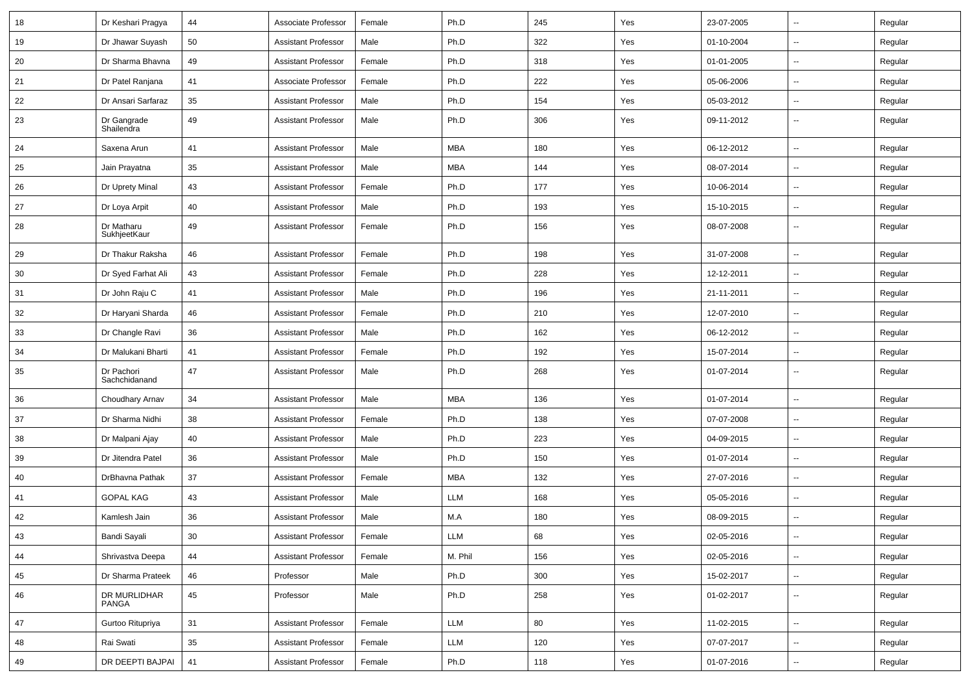| 18 | Dr Keshari Pragya           | 44     | Associate Professor        | Female | Ph.D       | 245 | Yes | 23-07-2005 | $\overline{\phantom{a}}$ | Regular |
|----|-----------------------------|--------|----------------------------|--------|------------|-----|-----|------------|--------------------------|---------|
| 19 | Dr Jhawar Suyash            | 50     | <b>Assistant Professor</b> | Male   | Ph.D       | 322 | Yes | 01-10-2004 | $\overline{\phantom{a}}$ | Regular |
| 20 | Dr Sharma Bhavna            | 49     | <b>Assistant Professor</b> | Female | Ph.D       | 318 | Yes | 01-01-2005 | --                       | Regular |
| 21 | Dr Patel Ranjana            | 41     | Associate Professor        | Female | Ph.D       | 222 | Yes | 05-06-2006 | --                       | Regular |
| 22 | Dr Ansari Sarfaraz          | 35     | <b>Assistant Professor</b> | Male   | Ph.D       | 154 | Yes | 05-03-2012 | --                       | Regular |
| 23 | Dr Gangrade<br>Shailendra   | 49     | <b>Assistant Professor</b> | Male   | Ph.D       | 306 | Yes | 09-11-2012 | --                       | Regular |
| 24 | Saxena Arun                 | 41     | <b>Assistant Professor</b> | Male   | <b>MBA</b> | 180 | Yes | 06-12-2012 | --                       | Regular |
| 25 | Jain Prayatna               | 35     | <b>Assistant Professor</b> | Male   | <b>MBA</b> | 144 | Yes | 08-07-2014 | $\overline{\phantom{a}}$ | Regular |
| 26 | Dr Uprety Minal             | 43     | <b>Assistant Professor</b> | Female | Ph.D       | 177 | Yes | 10-06-2014 | $\overline{\phantom{a}}$ | Regular |
| 27 | Dr Loya Arpit               | 40     | <b>Assistant Professor</b> | Male   | Ph.D       | 193 | Yes | 15-10-2015 | --                       | Regular |
| 28 | Dr Matharu<br>SukhjeetKaur  | 49     | <b>Assistant Professor</b> | Female | Ph.D       | 156 | Yes | 08-07-2008 | --                       | Regular |
| 29 | Dr Thakur Raksha            | 46     | <b>Assistant Professor</b> | Female | Ph.D       | 198 | Yes | 31-07-2008 | -−                       | Regular |
| 30 | Dr Syed Farhat Ali          | 43     | <b>Assistant Professor</b> | Female | Ph.D       | 228 | Yes | 12-12-2011 | --                       | Regular |
| 31 | Dr John Raju C              | 41     | <b>Assistant Professor</b> | Male   | Ph.D       | 196 | Yes | 21-11-2011 | --                       | Regular |
| 32 | Dr Haryani Sharda           | 46     | <b>Assistant Professor</b> | Female | Ph.D       | 210 | Yes | 12-07-2010 | -−                       | Regular |
| 33 | Dr Changle Ravi             | 36     | <b>Assistant Professor</b> | Male   | Ph.D       | 162 | Yes | 06-12-2012 | ⊷.                       | Regular |
| 34 | Dr Malukani Bharti          | 41     | <b>Assistant Professor</b> | Female | Ph.D       | 192 | Yes | 15-07-2014 | --                       | Regular |
| 35 | Dr Pachori<br>Sachchidanand | 47     | <b>Assistant Professor</b> | Male   | Ph.D       | 268 | Yes | 01-07-2014 | $\overline{\phantom{a}}$ | Regular |
| 36 | Choudhary Arnav             | 34     | <b>Assistant Professor</b> | Male   | <b>MBA</b> | 136 | Yes | 01-07-2014 | -−                       | Regular |
| 37 | Dr Sharma Nidhi             | 38     | <b>Assistant Professor</b> | Female | Ph.D       | 138 | Yes | 07-07-2008 | --                       | Regular |
| 38 | Dr Malpani Ajay             | 40     | <b>Assistant Professor</b> | Male   | Ph.D       | 223 | Yes | 04-09-2015 | --                       | Regular |
| 39 | Dr Jitendra Patel           | 36     | <b>Assistant Professor</b> | Male   | Ph.D       | 150 | Yes | 01-07-2014 | $\overline{\phantom{a}}$ | Regular |
| 40 | DrBhavna Pathak             | 37     | <b>Assistant Professor</b> | Female | MBA        | 132 | Yes | 27-07-2016 | $\overline{\phantom{a}}$ | Regular |
| 41 | <b>GOPAL KAG</b>            | 43     | <b>Assistant Professor</b> | Male   | LLM        | 168 | Yes | 05-05-2016 | --                       | Regular |
| 42 | Kamlesh Jain                | 36     | <b>Assistant Professor</b> | Male   | M.A        | 180 | Yes | 08-09-2015 |                          | Regular |
| 43 | Bandi Sayali                | $30\,$ | <b>Assistant Professor</b> | Female | LLM        | 68  | Yes | 02-05-2016 | Щ,                       | Regular |
| 44 | Shrivastva Deepa            | 44     | <b>Assistant Professor</b> | Female | M. Phil    | 156 | Yes | 02-05-2016 | Ξ.                       | Regular |
| 45 | Dr Sharma Prateek           | 46     | Professor                  | Male   | Ph.D       | 300 | Yes | 15-02-2017 | $\overline{\phantom{a}}$ | Regular |
| 46 | DR MURLIDHAR<br>PANGA       | 45     | Professor                  | Male   | Ph.D       | 258 | Yes | 01-02-2017 | $\sim$                   | Regular |
| 47 | Gurtoo Ritupriya            | 31     | <b>Assistant Professor</b> | Female | LLM        | 80  | Yes | 11-02-2015 | $\overline{\phantom{a}}$ | Regular |
| 48 | Rai Swati                   | 35     | Assistant Professor        | Female | LLM        | 120 | Yes | 07-07-2017 | н.                       | Regular |
| 49 | DR DEEPTI BAJPAI            | 41     | Assistant Professor        | Female | Ph.D       | 118 | Yes | 01-07-2016 | $\sim$                   | Regular |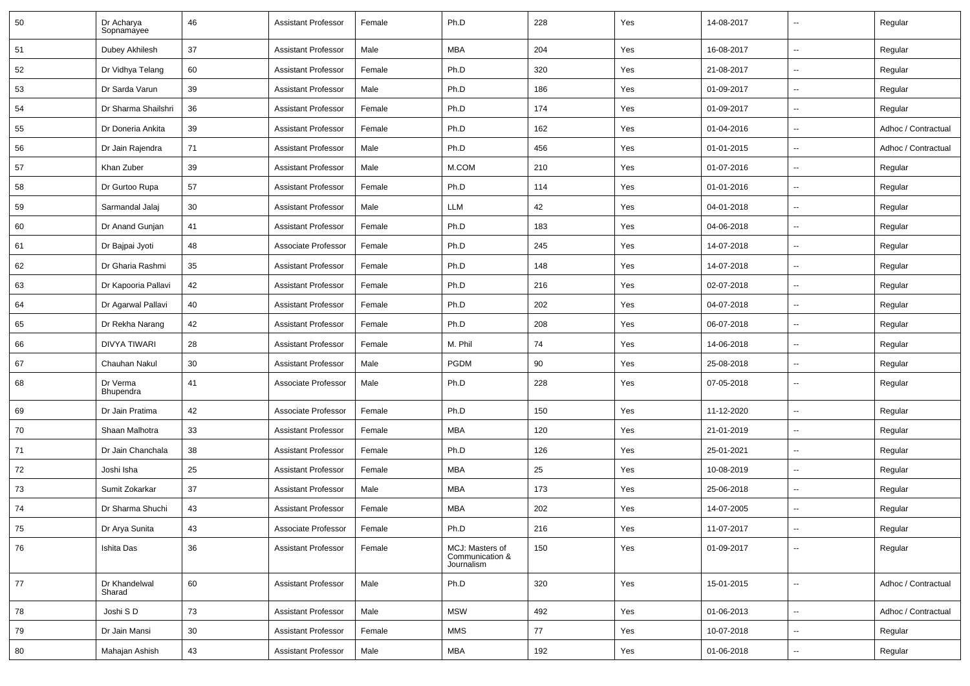| 50 | Dr Acharya<br>Sopnamayee | 46 | <b>Assistant Professor</b> | Female | Ph.D                                             | 228 | Yes | 14-08-2017 | $\overline{\phantom{a}}$ | Regular             |
|----|--------------------------|----|----------------------------|--------|--------------------------------------------------|-----|-----|------------|--------------------------|---------------------|
| 51 | Dubey Akhilesh           | 37 | <b>Assistant Professor</b> | Male   | MBA                                              | 204 | Yes | 16-08-2017 | $\overline{\phantom{a}}$ | Regular             |
| 52 | Dr Vidhya Telang         | 60 | <b>Assistant Professor</b> | Female | Ph.D                                             | 320 | Yes | 21-08-2017 | $\overline{\phantom{a}}$ | Regular             |
| 53 | Dr Sarda Varun           | 39 | <b>Assistant Professor</b> | Male   | Ph.D                                             | 186 | Yes | 01-09-2017 | $\overline{\phantom{a}}$ | Regular             |
| 54 | Dr Sharma Shailshri      | 36 | <b>Assistant Professor</b> | Female | Ph.D                                             | 174 | Yes | 01-09-2017 | $\overline{\phantom{a}}$ | Regular             |
| 55 | Dr Doneria Ankita        | 39 | <b>Assistant Professor</b> | Female | Ph.D                                             | 162 | Yes | 01-04-2016 | $\overline{\phantom{a}}$ | Adhoc / Contractual |
| 56 | Dr Jain Rajendra         | 71 | <b>Assistant Professor</b> | Male   | Ph.D                                             | 456 | Yes | 01-01-2015 | Ξ.                       | Adhoc / Contractual |
| 57 | Khan Zuber               | 39 | <b>Assistant Professor</b> | Male   | M.COM                                            | 210 | Yes | 01-07-2016 | $\overline{\phantom{a}}$ | Regular             |
| 58 | Dr Gurtoo Rupa           | 57 | <b>Assistant Professor</b> | Female | Ph.D                                             | 114 | Yes | 01-01-2016 | $\overline{\phantom{a}}$ | Regular             |
| 59 | Sarmandal Jalaj          | 30 | <b>Assistant Professor</b> | Male   | LLM                                              | 42  | Yes | 04-01-2018 | $\overline{\phantom{a}}$ | Regular             |
| 60 | Dr Anand Gunjan          | 41 | <b>Assistant Professor</b> | Female | Ph.D                                             | 183 | Yes | 04-06-2018 | $\overline{\phantom{a}}$ | Regular             |
| 61 | Dr Bajpai Jyoti          | 48 | Associate Professor        | Female | Ph.D                                             | 245 | Yes | 14-07-2018 | $\overline{\phantom{a}}$ | Regular             |
| 62 | Dr Gharia Rashmi         | 35 | <b>Assistant Professor</b> | Female | Ph.D                                             | 148 | Yes | 14-07-2018 | Ξ.                       | Regular             |
| 63 | Dr Kapooria Pallavi      | 42 | <b>Assistant Professor</b> | Female | Ph.D                                             | 216 | Yes | 02-07-2018 | $\overline{\phantom{a}}$ | Regular             |
| 64 | Dr Agarwal Pallavi       | 40 | <b>Assistant Professor</b> | Female | Ph.D                                             | 202 | Yes | 04-07-2018 | $\overline{\phantom{a}}$ | Regular             |
| 65 | Dr Rekha Narang          | 42 | <b>Assistant Professor</b> | Female | Ph.D                                             | 208 | Yes | 06-07-2018 | $\overline{\phantom{a}}$ | Regular             |
| 66 | DIVYA TIWARI             | 28 | <b>Assistant Professor</b> | Female | M. Phil                                          | 74  | Yes | 14-06-2018 | $\overline{\phantom{a}}$ | Regular             |
| 67 | Chauhan Nakul            | 30 | <b>Assistant Professor</b> | Male   | <b>PGDM</b>                                      | 90  | Yes | 25-08-2018 | $\overline{\phantom{a}}$ | Regular             |
| 68 | Dr Verma<br>Bhupendra    | 41 | Associate Professor        | Male   | Ph.D                                             | 228 | Yes | 07-05-2018 | $\mathbf{u}$             | Regular             |
| 69 | Dr Jain Pratima          | 42 | Associate Professor        | Female | Ph.D                                             | 150 | Yes | 11-12-2020 | $\mathbf{u}$             | Regular             |
| 70 | Shaan Malhotra           | 33 | <b>Assistant Professor</b> | Female | MBA                                              | 120 | Yes | 21-01-2019 | $\overline{\phantom{a}}$ | Regular             |
| 71 | Dr Jain Chanchala        | 38 | <b>Assistant Professor</b> | Female | Ph.D                                             | 126 | Yes | 25-01-2021 | $\overline{\phantom{a}}$ | Regular             |
| 72 | Joshi Isha               | 25 | <b>Assistant Professor</b> | Female | <b>MBA</b>                                       | 25  | Yes | 10-08-2019 | Ξ.                       | Regular             |
| 73 | Sumit Zokarkar           | 37 | <b>Assistant Professor</b> | Male   | MBA                                              | 173 | Yes | 25-06-2018 | $\overline{\phantom{a}}$ | Regular             |
| 74 | Dr Sharma Shuchi         | 43 | <b>Assistant Professor</b> | Female | <b>MBA</b>                                       | 202 | Yes | 14-07-2005 | $\overline{\phantom{a}}$ | Regular             |
| 75 | Dr Arya Sunita           | 43 | Associate Professor        | Female | Ph.D                                             | 216 | Yes | 11-07-2017 |                          | Regular             |
| 76 | Ishita Das               | 36 | <b>Assistant Professor</b> | Female | MCJ: Masters of<br>Communication &<br>Journalism | 150 | Yes | 01-09-2017 | $\sim$                   | Regular             |
| 77 | Dr Khandelwal<br>Sharad  | 60 | <b>Assistant Professor</b> | Male   | Ph.D                                             | 320 | Yes | 15-01-2015 | ÷.                       | Adhoc / Contractual |
| 78 | Joshi SD                 | 73 | <b>Assistant Professor</b> | Male   | <b>MSW</b>                                       | 492 | Yes | 01-06-2013 | Ξ.                       | Adhoc / Contractual |
| 79 | Dr Jain Mansi            | 30 | Assistant Professor        | Female | MMS                                              | 77  | Yes | 10-07-2018 | Ξ.                       | Regular             |
| 80 | Mahajan Ashish           | 43 | <b>Assistant Professor</b> | Male   | MBA                                              | 192 | Yes | 01-06-2018 | н,                       | Regular             |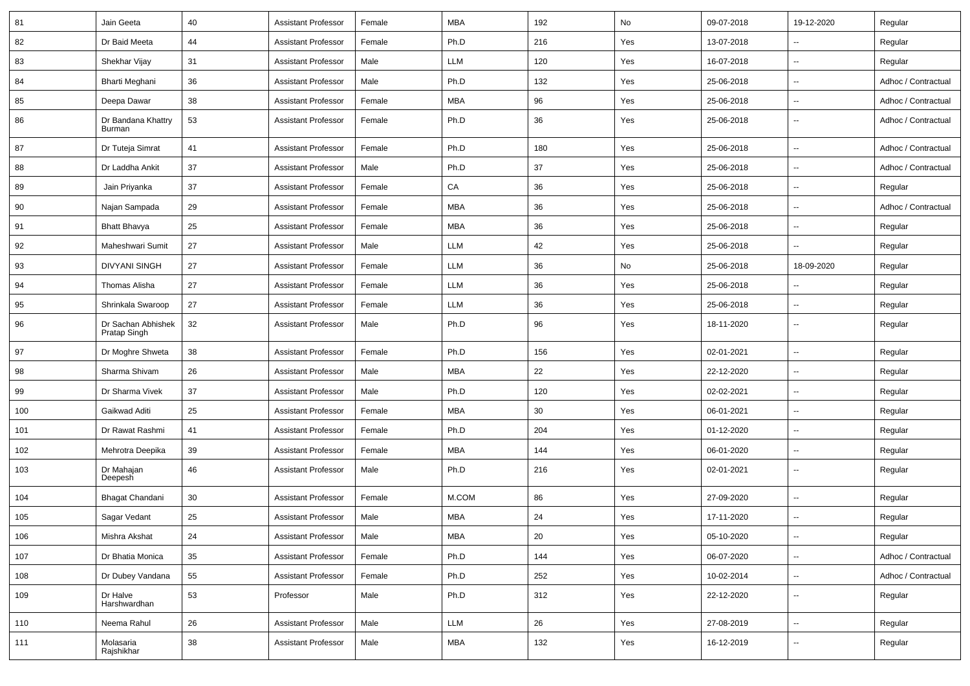| 81  | Jain Geeta                         | 40 | <b>Assistant Professor</b> | Female | <b>MBA</b> | 192 | No  | 09-07-2018 | 19-12-2020               | Regular             |
|-----|------------------------------------|----|----------------------------|--------|------------|-----|-----|------------|--------------------------|---------------------|
| 82  | Dr Baid Meeta                      | 44 | <b>Assistant Professor</b> | Female | Ph.D       | 216 | Yes | 13-07-2018 | $\overline{\phantom{a}}$ | Regular             |
| 83  | Shekhar Vijay                      | 31 | <b>Assistant Professor</b> | Male   | LLM        | 120 | Yes | 16-07-2018 | $\sim$                   | Regular             |
| 84  | Bharti Meghani                     | 36 | <b>Assistant Professor</b> | Male   | Ph.D       | 132 | Yes | 25-06-2018 | $\overline{\phantom{a}}$ | Adhoc / Contractual |
| 85  | Deepa Dawar                        | 38 | <b>Assistant Professor</b> | Female | <b>MBA</b> | 96  | Yes | 25-06-2018 | $\mathbf{u}$             | Adhoc / Contractual |
| 86  | Dr Bandana Khattry<br>Burman       | 53 | <b>Assistant Professor</b> | Female | Ph.D       | 36  | Yes | 25-06-2018 | $\sim$                   | Adhoc / Contractual |
| 87  | Dr Tuteja Simrat                   | 41 | <b>Assistant Professor</b> | Female | Ph.D       | 180 | Yes | 25-06-2018 | $\sim$                   | Adhoc / Contractual |
| 88  | Dr Laddha Ankit                    | 37 | <b>Assistant Professor</b> | Male   | Ph.D       | 37  | Yes | 25-06-2018 | $\sim$                   | Adhoc / Contractual |
| 89  | Jain Priyanka                      | 37 | <b>Assistant Professor</b> | Female | CA         | 36  | Yes | 25-06-2018 | $\overline{\phantom{a}}$ | Regular             |
| 90  | Najan Sampada                      | 29 | <b>Assistant Professor</b> | Female | <b>MBA</b> | 36  | Yes | 25-06-2018 | $\sim$                   | Adhoc / Contractual |
| 91  | <b>Bhatt Bhavya</b>                | 25 | <b>Assistant Professor</b> | Female | <b>MBA</b> | 36  | Yes | 25-06-2018 | $\overline{\phantom{a}}$ | Regular             |
| 92  | Maheshwari Sumit                   | 27 | <b>Assistant Professor</b> | Male   | LLM        | 42  | Yes | 25-06-2018 |                          | Regular             |
| 93  | <b>DIVYANI SINGH</b>               | 27 | <b>Assistant Professor</b> | Female | <b>LLM</b> | 36  | No  | 25-06-2018 | 18-09-2020               | Regular             |
| 94  | Thomas Alisha                      | 27 | Assistant Professor        | Female | LLM        | 36  | Yes | 25-06-2018 | $\overline{\phantom{a}}$ | Regular             |
| 95  | Shrinkala Swaroop                  | 27 | <b>Assistant Professor</b> | Female | LLM        | 36  | Yes | 25-06-2018 | $\overline{\phantom{a}}$ | Regular             |
| 96  | Dr Sachan Abhishek<br>Pratap Singh | 32 | <b>Assistant Professor</b> | Male   | Ph.D       | 96  | Yes | 18-11-2020 | $\sim$                   | Regular             |
| 97  | Dr Moghre Shweta                   | 38 | <b>Assistant Professor</b> | Female | Ph.D       | 156 | Yes | 02-01-2021 | $\sim$                   | Regular             |
| 98  | Sharma Shivam                      | 26 | <b>Assistant Professor</b> | Male   | <b>MBA</b> | 22  | Yes | 22-12-2020 | $\overline{\phantom{a}}$ | Regular             |
| 99  | Dr Sharma Vivek                    | 37 | <b>Assistant Professor</b> | Male   | Ph.D       | 120 | Yes | 02-02-2021 | $\overline{\phantom{a}}$ | Regular             |
| 100 | Gaikwad Aditi                      | 25 | <b>Assistant Professor</b> | Female | <b>MBA</b> | 30  | Yes | 06-01-2021 | $\overline{\phantom{a}}$ | Regular             |
| 101 | Dr Rawat Rashmi                    | 41 | <b>Assistant Professor</b> | Female | Ph.D       | 204 | Yes | 01-12-2020 | $\sim$                   | Regular             |
| 102 | Mehrotra Deepika                   | 39 | <b>Assistant Professor</b> | Female | <b>MBA</b> | 144 | Yes | 06-01-2020 | $\overline{\phantom{a}}$ | Regular             |
| 103 | Dr Mahajan<br>Deepesh              | 46 | <b>Assistant Professor</b> | Male   | Ph.D       | 216 | Yes | 02-01-2021 | $\sim$                   | Regular             |
| 104 | Bhagat Chandani                    | 30 | <b>Assistant Professor</b> | Female | M.COM      | 86  | Yes | 27-09-2020 | $\sim$                   | Regular             |
| 105 | Sagar Vedant                       | 25 | <b>Assistant Professor</b> | Male   | <b>MBA</b> | 24  | Yes | 17-11-2020 |                          | Regular             |
| 106 | Mishra Akshat                      | 24 | <b>Assistant Professor</b> | Male   | <b>MBA</b> | 20  | Yes | 05-10-2020 | $\sim$                   | Regular             |
| 107 | Dr Bhatia Monica                   | 35 | <b>Assistant Professor</b> | Female | Ph.D       | 144 | Yes | 06-07-2020 | $\overline{\phantom{a}}$ | Adhoc / Contractual |
| 108 | Dr Dubey Vandana                   | 55 | <b>Assistant Professor</b> | Female | Ph.D       | 252 | Yes | 10-02-2014 | $\sim$                   | Adhoc / Contractual |
| 109 | Dr Halve<br>Harshwardhan           | 53 | Professor                  | Male   | Ph.D       | 312 | Yes | 22-12-2020 | $\overline{\phantom{a}}$ | Regular             |
| 110 | Neema Rahul                        | 26 | <b>Assistant Professor</b> | Male   | LLM        | 26  | Yes | 27-08-2019 | $\sim$                   | Regular             |
| 111 | Molasaria<br>Rajshikhar            | 38 | <b>Assistant Professor</b> | Male   | MBA        | 132 | Yes | 16-12-2019 | $\sim$                   | Regular             |